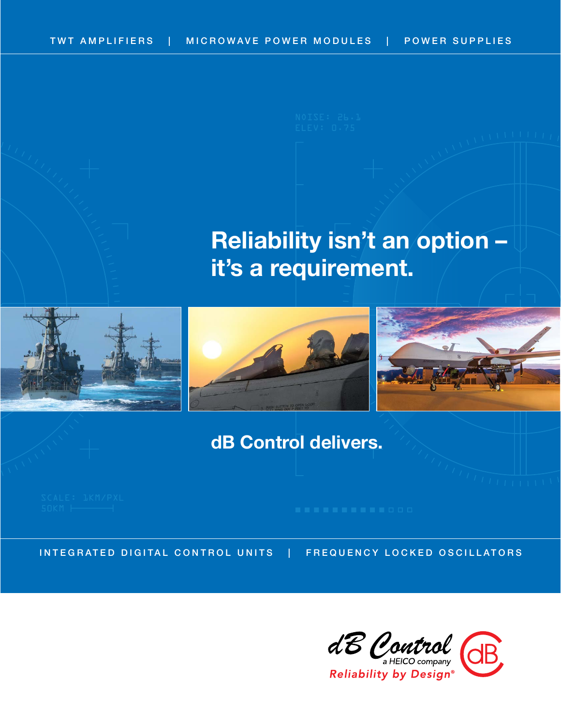# **Reliability isn't an option – it's a requirement.**







# **dB Control delivers.**

INTEGRATED DIGITAL CONTROL UNITS | FREQUENCY LOCKED OSCILLATORS

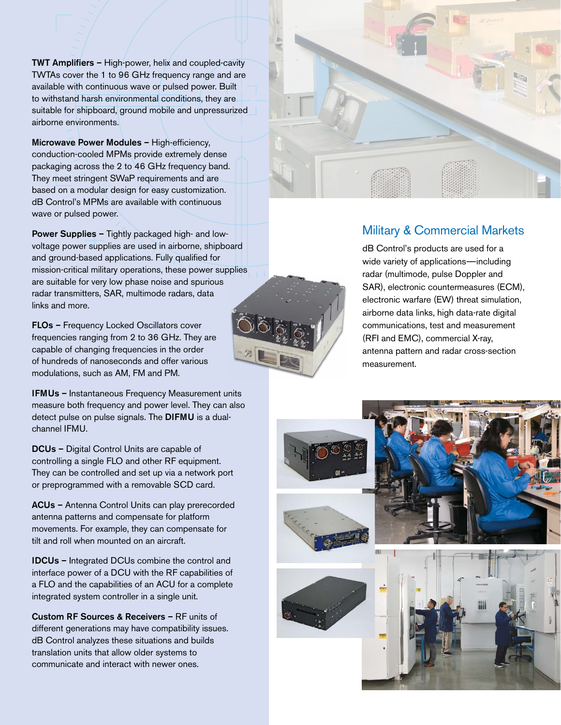TWT Amplifiers – High-power, helix and coupled-cavity TWTAs cover the 1 to 96 GHz frequency range and are available with continuous wave or pulsed power. Built to withstand harsh environmental conditions, they are suitable for shipboard, ground mobile and unpressurized airborne environments.

Microwave Power Modules – High-efficiency, conduction-cooled MPMs provide extremely dense packaging across the 2 to 46 GHz frequency band. They meet stringent SWaP requirements and are based on a modular design for easy customization. dB Control's MPMs are available with continuous wave or pulsed power.

Power Supplies – Tightly packaged high- and lowvoltage power supplies are used in airborne, shipboard and ground-based applications. Fully qualified for mission-critical military operations, these power supplies are suitable for very low phase noise and spurious radar transmitters, SAR, multimode radars, data links and more.

FLOs – Frequency Locked Oscillators cover frequencies ranging from 2 to 36 GHz. They are capable of changing frequencies in the order of hundreds of nanoseconds and offer various modulations, such as AM, FM and PM.

IFMUs – Instantaneous Frequency Measurement units measure both frequency and power level. They can also detect pulse on pulse signals. The DIFMU is a dualchannel IFMU.

DCUs – Digital Control Units are capable of controlling a single FLO and other RF equipment. They can be controlled and set up via a network port or preprogrammed with a removable SCD card.

ACUs – Antenna Control Units can play prerecorded antenna patterns and compensate for platform movements. For example, they can compensate for tilt and roll when mounted on an aircraft.

IDCUs – Integrated DCUs combine the control and interface power of a DCU with the RF capabilities of a FLO and the capabilities of an ACU for a complete integrated system controller in a single unit.

Custom RF Sources & Receivers – RF units of different generations may have compatibility issues. dB Control analyzes these situations and builds translation units that allow older systems to communicate and interact with newer ones.





dB Control's products are used for a wide variety of applications—including radar (multimode, pulse Doppler and SAR), electronic countermeasures (ECM), electronic warfare (EW) threat simulation, airborne data links, high data-rate digital communications, test and measurement (RFI and EMC), commercial X-ray, antenna pattern and radar cross-section measurement.



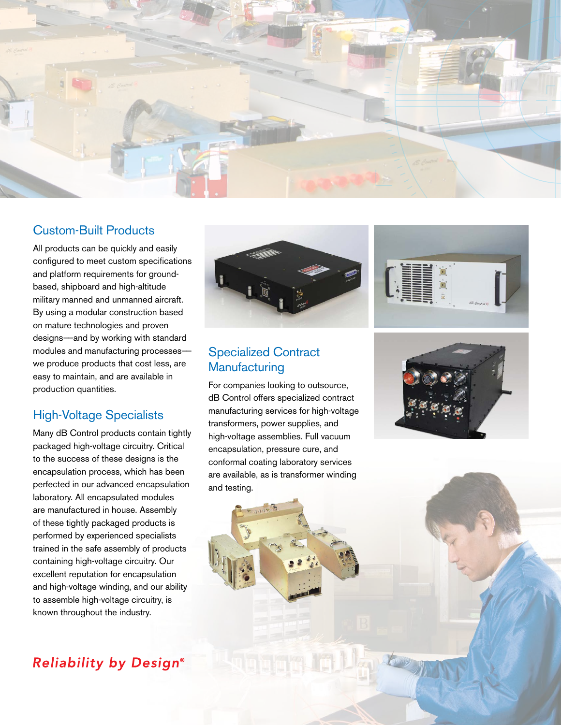

## Custom-Built Products

All products can be quickly and easily configured to meet custom specifications and platform requirements for groundbased, shipboard and high-altitude military manned and unmanned aircraft. By using a modular construction based on mature technologies and proven designs——and by working with standard modules and manufacturing processes— we produce products that cost less, are easy to maintain, and are available in production quantities.

### High-Voltage Specialists

Many dB Control products contain tightly packaged high-voltage circuitry. Critical to the success of these designs is the encapsulation process, which has been perfected in our advanced encapsulation laboratory. All encapsulated modules are manufactured in house. Assembly of these tightly packaged products is performed by experienced specialists trained in the safe assembly of products containing high-voltage circuitry. Our excellent reputation for encapsulation and high-voltage winding, and our ability to assemble high-voltage circuitry, is known throughout the industry.





## Specialized Contract **Manufacturing**

For companies looking to outsource, dB Control offers specialized contract manufacturing services for high-voltage transformers, power supplies, and high-voltage assemblies. Full vacuum encapsulation, pressure cure, and conformal coating laboratory services are available, as is transformer winding and testing.





The top of